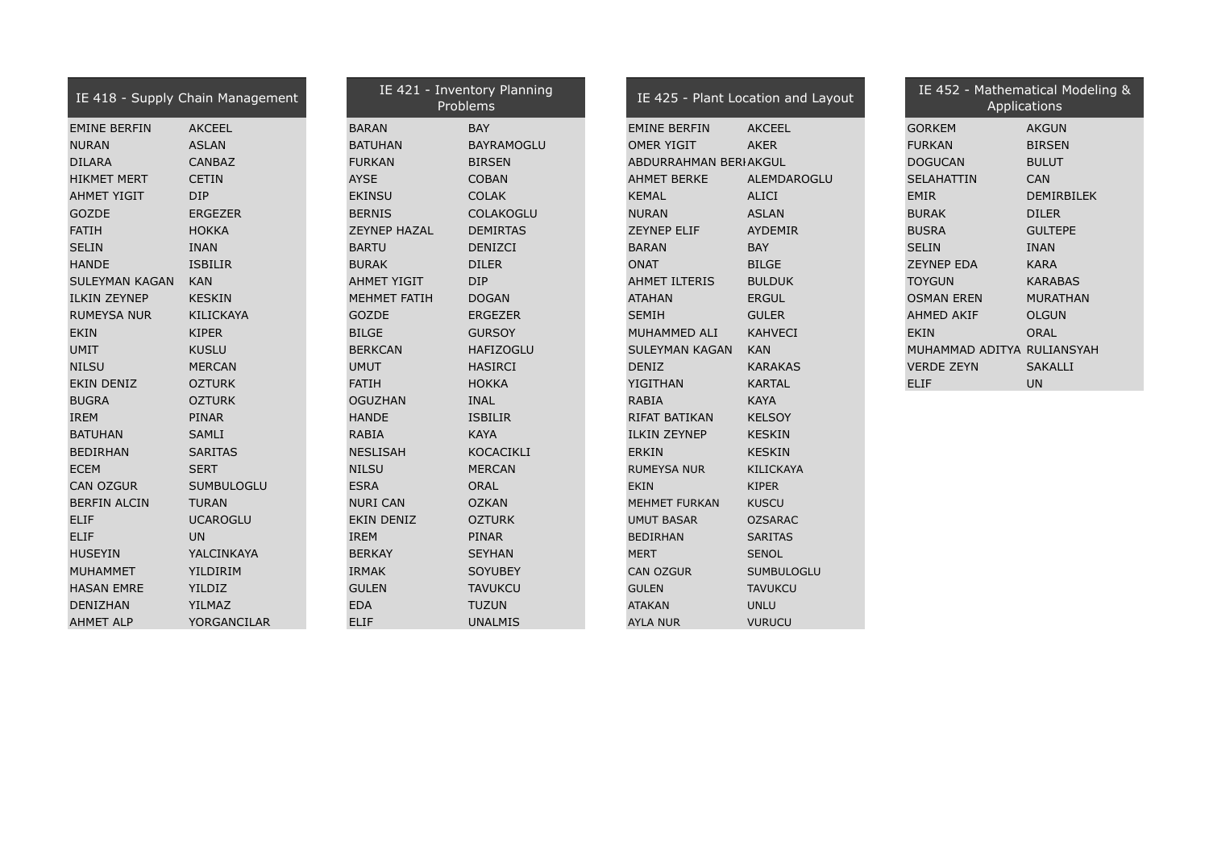| IE 418 - Supply Chain Management |                 | IE 421 - Inventory Planning<br>Problems |                   | IE 425 - Plant Location and Layout |                |  | IE 452 - Mathematical Model<br>Applications |                |  |
|----------------------------------|-----------------|-----------------------------------------|-------------------|------------------------------------|----------------|--|---------------------------------------------|----------------|--|
| <b>EMINE BERFIN</b>              | <b>AKCEEL</b>   | <b>BARAN</b>                            | <b>BAY</b>        | <b>EMINE BERFIN</b>                | <b>AKCEEL</b>  |  | <b>GORKEM</b>                               | <b>AKGUN</b>   |  |
| <b>NURAN</b>                     | <b>ASLAN</b>    | <b>BATUHAN</b>                          | <b>BAYRAMOGLU</b> | <b>OMER YIGIT</b>                  | <b>AKER</b>    |  | <b>FURKAN</b>                               | <b>BIRSEN</b>  |  |
| <b>DILARA</b>                    | <b>CANBAZ</b>   | <b>FURKAN</b>                           | <b>BIRSEN</b>     | ABDURRAHMAN BERIAKGUL              |                |  | <b>DOGUCAN</b>                              | <b>BULUT</b>   |  |
| <b>HIKMET MERT</b>               | <b>CETIN</b>    | <b>AYSE</b>                             | <b>COBAN</b>      | <b>AHMET BERKE</b>                 | ALEMDAROGLU    |  | <b>SELAHATTIN</b>                           | CAN            |  |
| <b>AHMET YIGIT</b>               | <b>DIP</b>      | <b>EKINSU</b>                           | <b>COLAK</b>      | <b>KEMAL</b>                       | <b>ALICI</b>   |  | <b>EMIR</b>                                 | DEMIRBILEK     |  |
| <b>GOZDE</b>                     | <b>ERGEZER</b>  | <b>BERNIS</b>                           | <b>COLAKOGLU</b>  | <b>NURAN</b>                       | <b>ASLAN</b>   |  | <b>BURAK</b>                                | <b>DILER</b>   |  |
| <b>FATIH</b>                     | <b>HOKKA</b>    | <b>ZEYNEP HAZAL</b>                     | <b>DEMIRTAS</b>   | <b>ZEYNEP ELIF</b>                 | <b>AYDEMIR</b> |  | <b>BUSRA</b>                                | <b>GULTEPE</b> |  |
| <b>SELIN</b>                     | <b>INAN</b>     | <b>BARTU</b>                            | <b>DENIZCI</b>    | <b>BARAN</b>                       | <b>BAY</b>     |  | <b>SELIN</b>                                | <b>INAN</b>    |  |
| <b>HANDE</b>                     | <b>ISBILIR</b>  | <b>BURAK</b>                            | <b>DILER</b>      | <b>ONAT</b>                        | <b>BILGE</b>   |  | <b>ZEYNEP EDA</b>                           | <b>KARA</b>    |  |
| SULEYMAN KAGAN                   | <b>KAN</b>      | <b>AHMET YIGIT</b>                      | <b>DIP</b>        | <b>AHMET ILTERIS</b>               | <b>BULDUK</b>  |  | <b>TOYGUN</b>                               | <b>KARABAS</b> |  |
| <b>ILKIN ZEYNEP</b>              | <b>KESKIN</b>   | MEHMET FATIH                            | <b>DOGAN</b>      | <b>ATAHAN</b>                      | <b>ERGUL</b>   |  | <b>OSMAN EREN</b>                           | MURATHAN       |  |
| <b>RUMEYSA NUR</b>               | KILICKAYA       | <b>GOZDE</b>                            | <b>ERGEZER</b>    | <b>SEMIH</b>                       | <b>GULER</b>   |  | AHMED AKIF                                  | <b>OLGUN</b>   |  |
| <b>EKIN</b>                      | <b>KIPER</b>    | <b>BILGE</b>                            | <b>GURSOY</b>     | MUHAMMED ALI                       | <b>KAHVECI</b> |  | <b>EKIN</b>                                 | <b>ORAL</b>    |  |
| <b>UMIT</b>                      | <b>KUSLU</b>    | <b>BERKCAN</b>                          | <b>HAFIZOGLU</b>  | SULEYMAN KAGAN                     | <b>KAN</b>     |  | MUHAMMAD ADITYA RULIANSYAH                  |                |  |
| <b>NILSU</b>                     | <b>MERCAN</b>   | <b>UMUT</b>                             | <b>HASIRCI</b>    | <b>DENIZ</b>                       | <b>KARAKAS</b> |  | <b>VERDE ZEYN</b>                           | <b>SAKALLI</b> |  |
| <b>EKIN DENIZ</b>                | <b>OZTURK</b>   | <b>FATIH</b>                            | <b>HOKKA</b>      | <b>YIGITHAN</b>                    | <b>KARTAL</b>  |  | <b>ELIF</b>                                 | <b>UN</b>      |  |
| <b>BUGRA</b>                     | <b>OZTURK</b>   | <b>OGUZHAN</b>                          | <b>INAL</b>       | <b>RABIA</b>                       | <b>KAYA</b>    |  |                                             |                |  |
| <b>IREM</b>                      | PINAR           | <b>HANDE</b>                            | <b>ISBILIR</b>    | <b>RIFAT BATIKAN</b>               | <b>KELSOY</b>  |  |                                             |                |  |
| <b>BATUHAN</b>                   | SAMLI           | <b>RABIA</b>                            | <b>KAYA</b>       | <b>ILKIN ZEYNEP</b>                | <b>KESKIN</b>  |  |                                             |                |  |
| <b>BEDIRHAN</b>                  | <b>SARITAS</b>  | <b>NESLISAH</b>                         | KOCACIKLI         | <b>ERKIN</b>                       | <b>KESKIN</b>  |  |                                             |                |  |
| <b>ECEM</b>                      | <b>SERT</b>     | <b>NILSU</b>                            | <b>MERCAN</b>     | <b>RUMEYSA NUR</b>                 | KILICKAYA      |  |                                             |                |  |
| <b>CAN OZGUR</b>                 | SUMBULOGLU      | <b>ESRA</b>                             | <b>ORAL</b>       | <b>EKIN</b>                        | KIPER          |  |                                             |                |  |
| <b>BERFIN ALCIN</b>              | <b>TURAN</b>    | <b>NURI CAN</b>                         | <b>OZKAN</b>      | <b>MEHMET FURKAN</b>               | <b>KUSCU</b>   |  |                                             |                |  |
| <b>ELIF</b>                      | <b>UCAROGLU</b> | <b>EKIN DENIZ</b>                       | <b>OZTURK</b>     | <b>UMUT BASAR</b>                  | <b>OZSARAC</b> |  |                                             |                |  |
| <b>ELIF</b>                      | <b>UN</b>       | <b>IREM</b>                             | PINAR             | <b>BEDIRHAN</b>                    | <b>SARITAS</b> |  |                                             |                |  |
| <b>HUSEYIN</b>                   | YALCINKAYA      | <b>BERKAY</b>                           | <b>SEYHAN</b>     | <b>MERT</b>                        | <b>SENOL</b>   |  |                                             |                |  |
| <b>MUHAMMET</b>                  | YILDIRIM        | <b>IRMAK</b>                            | <b>SOYUBEY</b>    | <b>CAN OZGUR</b>                   | SUMBULOGLU     |  |                                             |                |  |
| <b>HASAN EMRE</b>                | <b>YILDIZ</b>   | <b>GULEN</b>                            | <b>TAVUKCU</b>    | <b>GULEN</b>                       | <b>TAVUKCU</b> |  |                                             |                |  |
| DENIZHAN                         | YILMAZ          | <b>EDA</b>                              | <b>TUZUN</b>      | <b>ATAKAN</b>                      | <b>UNLU</b>    |  |                                             |                |  |
| <b>AHMET ALP</b>                 | YORGANCILAR     | <b>ELIF</b>                             | <b>UNALMIS</b>    | <b>AYLA NUR</b>                    | <b>VURUCU</b>  |  |                                             |                |  |

| E 421 - Inventory Planni | Problems           |
|--------------------------|--------------------|
| J                        | BAY.               |
| <b>IAN</b>               | <b>BAYRAMOGL</b>   |
| ١N                       | <b>BIRSEN</b>      |
|                          | <b>COBAN</b>       |
| iU                       | <b>COLAK</b>       |
| S.                       | <b>COLAKOGLU</b>   |
| P HAZAL                  | <b>DEMIRTAS</b>    |
| J                        | DENIZCI            |
| Ć                        | <b>DILER</b>       |
| T YIGIT                  | <b>DIP</b>         |
| <b>ET FATIH</b>          | <b>DOGAN</b>       |
| Ë                        | <b>ERGEZER</b>     |
|                          | <b>GURSOY</b>      |
| CAN                      | <b>HAFIZOGLU</b>   |
|                          | <b>HASIRCI</b>     |
|                          | <b>HOKKA</b>       |
| HAN                      | <b>INAL</b>        |
| Ē                        | <b>ISBILIR</b>     |
|                          | <b>KAYA</b>        |
| <b>SAH</b>               | <b>KOCACIKLI</b>   |
|                          | <b>MERCAN</b>      |
|                          | ORAL               |
| CAN                      | <b>OZKAN</b>       |
| <b>DENIZ</b>             | <b>OZTURK</b>      |
|                          | <b>PINAR</b>       |
| ١Y                       | <b>SEYHAN</b>      |
| $\overline{\phantom{0}}$ | <b>SOYUBEY</b>     |
| √                        | <b>TAVUKCU</b>     |
|                          | <b>TUZUN</b>       |
|                          | <b>IINIAI MATC</b> |

| IE 425 - Plant Location and Layd |                   |
|----------------------------------|-------------------|
| EMINE BERFIN                     | AKCEEL            |
| )MER YIGIT                       | AKFR              |
| ABDURRAHMAN BERIAKGUL            |                   |
| <b>HMET BERKE</b>                | ALEMDAROGLU       |
| <b><i>CEMAL</i></b>              | ALICI             |
| NURAN                            | <b>ASLAN</b>      |
| ZEYNEP ELIF                      | <b>AYDEMIR</b>    |
| <b>BARAN</b>                     | <b>BAY</b>        |
| NAT                              | <b>BILGE</b>      |
| <b>\HMET ILTERIS</b>             | <b>BULDUK</b>     |
| <b>ATAHAN</b>                    | ERGUL             |
| SEMIH                            | <b>GULER</b>      |
| MUHAMMED ALI                     | <b>KAHVECI</b>    |
| SULEYMAN KAGAN KAN               |                   |
| <b>DENIZ</b>                     | <b>KARAKAS</b>    |
| /IGITHAN                         | KARTAL            |
| RABIA                            | <b>KAYA</b>       |
| <b>RIFAT BATIKAN</b>             | <b>KELSOY</b>     |
| LKIN ZEYNEP                      | <b>KESKIN</b>     |
| <b>FRKIN</b>                     | <b>KESKIN</b>     |
| <b>RUMEYSA NUR</b>               | <b>KILICKAYA</b>  |
| EKIN                             | <b>KIPFR</b>      |
| 1EHMET FURKAN                    | <b>KUSCU</b>      |
| JMUT BASAR                       | <b>OZSARAC</b>    |
| BEDIRHAN                         | <b>SARITAS</b>    |
| 1FRT                             | <b>SENOL</b>      |
| CAN OZGUR                        | <b>SUMBULOGLU</b> |
| <b>GULEN</b>                     | <b>TAVUKCU</b>    |
| <b>TAKAN</b>                     | <b>UNLU</b>       |
|                                  |                   |

| Inventory Planning<br>Problems |                       | IE 425 - Plant Location and Layout | IE 452 - Mathematical Modeling &<br>Applications |                   |  |
|--------------------------------|-----------------------|------------------------------------|--------------------------------------------------|-------------------|--|
| <b>BAY</b>                     | <b>EMINE BERFIN</b>   | <b>AKCEEL</b>                      | <b>GORKEM</b>                                    | <b>AKGUN</b>      |  |
| <b>BAYRAMOGLU</b>              | <b>OMER YIGIT</b>     | <b>AKER</b>                        | <b>FURKAN</b>                                    | <b>BIRSEN</b>     |  |
| <b>BIRSEN</b>                  | ABDURRAHMAN BERIAKGUL |                                    | <b>DOGUCAN</b>                                   | <b>BULUT</b>      |  |
| <b>COBAN</b>                   | <b>AHMET BERKE</b>    | ALEMDAROGLU                        | <b>SELAHATTIN</b>                                | <b>CAN</b>        |  |
| <b>COLAK</b>                   | <b>KEMAL</b>          | <b>ALICI</b>                       | <b>EMIR</b>                                      | <b>DEMIRBILEK</b> |  |
| <b>COLAKOGLU</b>               | <b>NURAN</b>          | <b>ASLAN</b>                       | <b>BURAK</b>                                     | <b>DILER</b>      |  |
| <b>DEMIRTAS</b>                | <b>ZEYNEP ELIF</b>    | <b>AYDEMIR</b>                     | <b>BUSRA</b>                                     | <b>GULTEPE</b>    |  |
| <b>DENIZCI</b>                 | <b>BARAN</b>          | <b>BAY</b>                         | <b>SELIN</b>                                     | <b>INAN</b>       |  |
| <b>DILER</b>                   | <b>ONAT</b>           | <b>BILGE</b>                       | <b>ZEYNEP EDA</b>                                | <b>KARA</b>       |  |
| <b>DIP</b>                     | <b>AHMET ILTERIS</b>  | <b>BULDUK</b>                      | <b>TOYGUN</b>                                    | <b>KARABAS</b>    |  |
| <b>DOGAN</b>                   | <b>ATAHAN</b>         | <b>ERGUL</b>                       | <b>OSMAN EREN</b>                                | <b>MURATHAN</b>   |  |
| <b>ERGEZER</b>                 | <b>SEMIH</b>          | <b>GULER</b>                       | <b>AHMED AKIF</b>                                | <b>OLGUN</b>      |  |
| <b>GURSOY</b>                  | MUHAMMED ALI          | <b>KAHVECI</b>                     | <b>EKIN</b>                                      | <b>ORAL</b>       |  |
| <b>HAFIZOGLU</b>               | <b>SULEYMAN KAGAN</b> | <b>KAN</b>                         | MUHAMMAD ADITYA RULIANSYAH                       |                   |  |
| <b>HASIRCI</b>                 | <b>DENIZ</b>          | <b>KARAKAS</b>                     | <b>VERDE ZEYN</b>                                | <b>SAKALLI</b>    |  |
| <b>HOKKA</b>                   | YIGITHAN              | <b>KARTAL</b>                      | <b>ELIF</b>                                      | <b>UN</b>         |  |
| TRIAI                          | <b>DADTA</b>          | 17AYA                              |                                                  |                   |  |